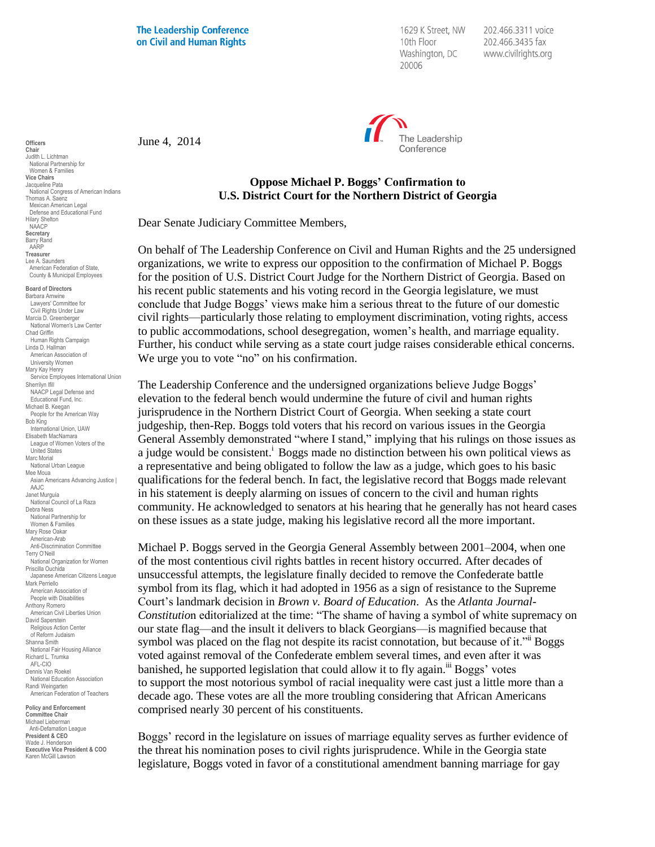1629 K Street, NW 10th Floor Washington, DC 20006

202.466.3311 voice 202.466.3435 fax www.civilrights.org



## **Oppose Michael P. Boggs' Confirmation to U.S. District Court for the Northern District of Georgia**

Dear Senate Judiciary Committee Members,

On behalf of The Leadership Conference on Civil and Human Rights and the 25 undersigned organizations, we write to express our opposition to the confirmation of Michael P. Boggs for the position of U.S. District Court Judge for the Northern District of Georgia. Based on his recent public statements and his voting record in the Georgia legislature, we must conclude that Judge Boggs' views make him a serious threat to the future of our domestic civil rights—particularly those relating to employment discrimination, voting rights, access to public accommodations, school desegregation, women's health, and marriage equality. Further, his conduct while serving as a state court judge raises considerable ethical concerns. We urge you to vote "no" on his confirmation.

The Leadership Conference and the undersigned organizations believe Judge Boggs' elevation to the federal bench would undermine the future of civil and human rights jurisprudence in the Northern District Court of Georgia. When seeking a state court judgeship, then-Rep. Boggs told voters that his record on various issues in the Georgia General Assembly demonstrated "where I stand," implying that his rulings on those issues as a judge would be consistent.<sup>1</sup> Boggs made no distinction between his own political views as a representative and being obligated to follow the law as a judge, which goes to his basic qualifications for the federal bench. In fact, the legislative record that Boggs made relevant in his statement is deeply alarming on issues of concern to the civil and human rights community. He acknowledged to senators at his hearing that he generally has not heard cases on these issues as a state judge, making his legislative record all the more important.

Michael P. Boggs served in the Georgia General Assembly between 2001–2004, when one of the most contentious civil rights battles in recent history occurred. After decades of unsuccessful attempts, the legislature finally decided to remove the Confederate battle symbol from its flag, which it had adopted in 1956 as a sign of resistance to the Supreme Court's landmark decision in *Brown v. Board of Education*. As the *Atlanta Journal-Constitutio*n editorialized at the time: "The shame of having a symbol of white supremacy on our state flag—and the insult it delivers to black Georgians—is magnified because that symbol was placed on the flag not despite its racist connotation, but because of it." Boggs voted against removal of the Confederate emblem several times, and even after it was banished, he supported legislation that could allow it to fly again.<sup>iii</sup> Boggs' votes to support the most notorious symbol of racial inequality were cast just a little more than a decade ago. These votes are all the more troubling considering that African Americans comprised nearly 30 percent of his constituents.

Boggs' record in the legislature on issues of marriage equality serves as further evidence of the threat his nomination poses to civil rights jurisprudence. While in the Georgia state legislature, Boggs voted in favor of a constitutional amendment banning marriage for gay

June 4, 2014

**Chair** Judith L. Lichtman National Partnership for Women & Families **Vice Chairs** Jacqueline Pata National Congress of American Indians Thomas A. Saenz Mexican American Legal Defense and Educational Fund Hilary Shelton NAACP **Secretary** Barry Rand AARP **Treasurer** Lee A. Saunders American Federation of State, County & Municipal Employees **Board of Directors** Barbara Arnwine Lawyers' Committee for Civil Rights Under Law Marcia D. Greenberger National Women's Law Center Chad Griffin Human Rights Campaign Linda D. Hallman American Association of University Women Mary Kay Henry Service Employees International Union Sherrilyn Ifill NAACP Legal Defense and Educational Fund, Inc. Michael B. Keegan People for the American Way Bob King International Union, UAW Elisabeth MacNamara League of Women Voters of the United States Marc Morial National Urban League Mee Moua Asian Americans Advancing Justice | AAJC Janet Murguía National Council of La Raza Debra Ness National Partnership for Women & Families Mary Rose Oakar American-Arab Anti-Discrimination Committee Terry O'Neill National Organization for Women Priscilla Ouchida Japanese American Citizens League Mark Perriello American Association of People with Disabilities Anthony Romero American Civil Liberties Union David Saperstein Religious Action Center of Reform Judaism Shanna Smith National Fair Housing Alliance Richard L. Trumka AFL-CIO Dennis Van Roekel National Education Association Randi Weingarten American Federation of Teachers **Policy and Enforcement Committee Chair** Michael Lieberman Anti-Defamation League **President & CEO** Wade J. Henderson **Executive Vice President & COO** Karen McGill Lawson

**Officers**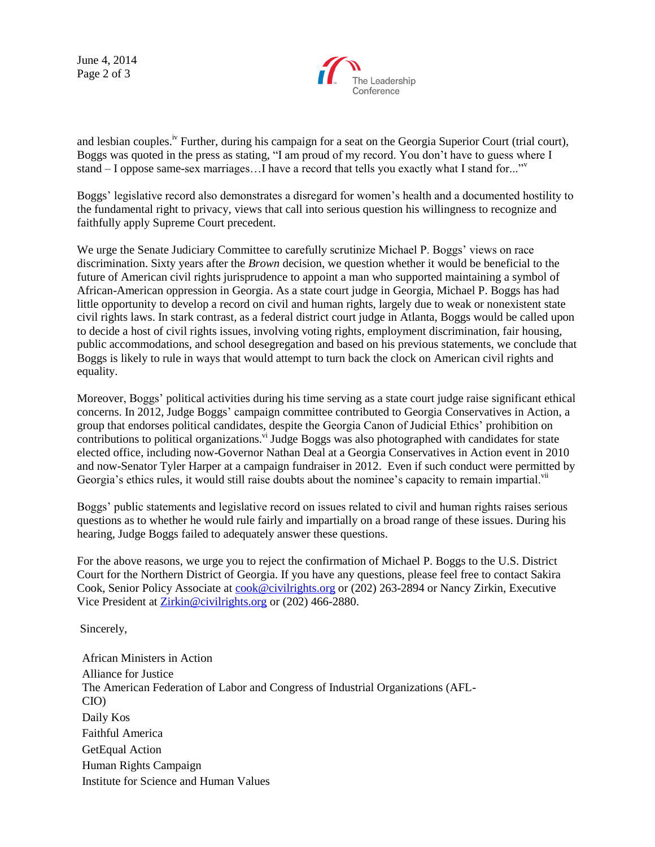June 4, 2014 Page 2 of 3



and lesbian couples.<sup>iv</sup> Further, during his campaign for a seat on the Georgia Superior Court (trial court), Boggs was quoted in the press as stating, "I am proud of my record. You don't have to guess where I stand – I oppose same-sex marriages…I have a record that tells you exactly what I stand for..."<sup>v</sup>

Boggs' legislative record also demonstrates a disregard for women's health and a documented hostility to the fundamental right to privacy, views that call into serious question his willingness to recognize and faithfully apply Supreme Court precedent.

We urge the Senate Judiciary Committee to carefully scrutinize Michael P. Boggs' views on race discrimination. Sixty years after the *Brown* decision, we question whether it would be beneficial to the future of American civil rights jurisprudence to appoint a man who supported maintaining a symbol of African-American oppression in Georgia. As a state court judge in Georgia, Michael P. Boggs has had little opportunity to develop a record on civil and human rights, largely due to weak or nonexistent state civil rights laws. In stark contrast, as a federal district court judge in Atlanta, Boggs would be called upon to decide a host of civil rights issues, involving voting rights, employment discrimination, fair housing, public accommodations, and school desegregation and based on his previous statements, we conclude that Boggs is likely to rule in ways that would attempt to turn back the clock on American civil rights and equality.

Moreover, Boggs' political activities during his time serving as a state court judge raise significant ethical concerns. In 2012, Judge Boggs' campaign committee contributed to Georgia Conservatives in Action, a group that endorses political candidates, despite the Georgia Canon of Judicial Ethics' prohibition on contributions to political organizations.<sup>vi</sup> Judge Boggs was also photographed with candidates for state elected office, including now-Governor Nathan Deal at a Georgia Conservatives in Action event in 2010 and now-Senator Tyler Harper at a campaign fundraiser in 2012. Even if such conduct were permitted by Georgia's ethics rules, it would still raise doubts about the nominee's capacity to remain impartial.<sup>vii</sup>

Boggs' public statements and legislative record on issues related to civil and human rights raises serious questions as to whether he would rule fairly and impartially on a broad range of these issues. During his hearing, Judge Boggs failed to adequately answer these questions.

For the above reasons, we urge you to reject the confirmation of Michael P. Boggs to the U.S. District Court for the Northern District of Georgia. If you have any questions, please feel free to contact Sakira Cook, Senior Policy Associate at [cook@civilrights.org](mailto:cook@civilrights.org) or (202) 263-2894 or Nancy Zirkin, Executive Vice President at [Zirkin@civilrights.org](mailto:Zirkin@civilrights.org) or (202) 466-2880.

Sincerely,

African Ministers in Action Alliance for Justice The American Federation of Labor and Congress of Industrial Organizations (AFL-CIO) Daily Kos Faithful America GetEqual Action Human Rights Campaign Institute for Science and Human Values